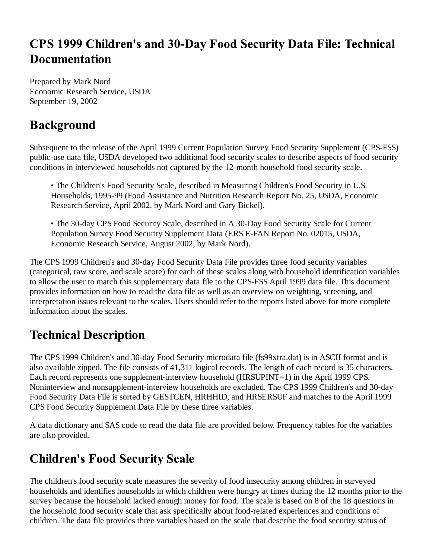## CPS 1999 Children's and 30-Day Food Security Data File: Technical **Documentation**

Prepared by Mark Nord Economic Research Service, USDA September 19, 2002

## **Background**

Subsequent to the release of the April 1999 Current Population Survey Food Security Supplement (CPS-FSS) public-use data file, USDA developed two additional food security scales to describe aspects of food security conditions in interviewed households not captured by the 12-month household food security scale.

• The Children's Food Security Scale, described in Measuring Children's Food Security in U.S. Households, 1995-99 (Food Assistance and Nutrition Research Report No. 25, USDA, Economic Research Service, April 2002, by Mark Nord and Gary Bickel).

• The 30-day CPS Food Security Scale, described in A 30-Day Food Security Scale for Current Population Survey Food Security Supplement Data (ERS E-FAN Report No. 02015, USDA, Economic Research Service, August 2002, by Mark Nord).

The CPS 1999 Children's and 30-day Food Security Data File provides three food security variables (categorical, raw score, and scale score) for each of these scales along with household identification variables to allow the user to match this supplementary data file to the CPS-FSS April 1999 data file. This document provides information on how to read the data file as well as an overview on weighting, screening, and interpretation issues relevant to the scales. Users should refer to the reports listed above for more complete information about the scales.

### **Technical Description**

The CPS 1999 Children's and 30-day Food Security microdata file (fs99xtra.dat) is in ASCII format and is also available zipped. The file consists of 41,311 logical records. The length of each record is 35 characters. Each record represents one supplement-interview household (HRSUPINT=1) in the April 1999 CPS. Noninterview and nonsupplement-interview households are excluded. The CPS 1999 Children's and 30-day Food Security Data File is sorted by GESTCEN, HRHHID, and HRSERSUF and matches to the April 1999 CPS Food Security Supplement Data File by these three variables.

A data dictionary and SAS code to read the data file are provided below. Frequency tables for the variables are also provided.

# **Children's Food Security Scale**

The children's food security scale measures the severity of food insecurity among children in surveyed households and identifies households in which children were hungry at times during the 12 months prior to the survey because the household lacked enough money for food. The scale is based on 8 of the 18 questions in the household food security scale that ask specifically about food-related experiences and conditions of children. The data file provides three variables based on the scale that describe the food security status of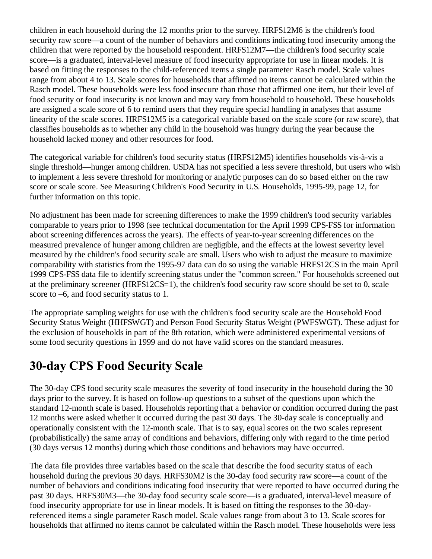children in each household during the 12 months prior to the survey. HRFS12M6 is the children's food security raw score—a count of the number of behaviors and conditions indicating food insecurity among the children that were reported by the household respondent. HRFS12M7—the children's food security scale score—is a graduated, interval-level measure of food insecurity appropriate for use in linear models. It is based on fitting the responses to the child-referenced items a single parameter Rasch model. Scale values range from about 4 to 13. Scale scores for households that affirmed no items cannot be calculated within the Rasch model. These households were less food insecure than those that affirmed one item, but their level of food security or food insecurity is not known and may vary from household to household. These households are assigned a scale score of 6 to remind users that they require special handling in analyses that assume linearity of the scale scores. HRFS12M5 is a categorical variable based on the scale score (or raw score), that classifies households as to whether any child in the household was hungry during the year because the household lacked money and other resources for food.

The categorical variable for children's food security status (HRFS12M5) identifies households vis-à-vis a single threshold—hunger among children. USDA has not specified a less severe threshold, but users who wish to implement a less severe threshold for monitoring or analytic purposes can do so based either on the raw score or scale score. See Measuring Children's Food Security in U.S. Households, 1995-99, page 12, for further information on this topic.

No adjustment has been made for screening differences to make the 1999 children's food security variables comparable to years prior to 1998 (see technical documentation for the April 1999 CPS-FSS for information about screening differences across the years). The effects of year-to-year screening differences on the measured prevalence of hunger among children are negligible, and the effects at the lowest severity level measured by the children's food security scale are small. Users who wish to adjust the measure to maximize comparability with statistics from the 1995-97 data can do so using the variable HRFS12CS in the main April 1999 CPS-FSS data file to identify screening status under the "common screen." For households screened out at the preliminary screener (HRFS12CS=1), the children's food security raw score should be set to 0, scale score to –6, and food security status to 1.

The appropriate sampling weights for use with the children's food security scale are the Household Food Security Status Weight (HHFSWGT) and Person Food Security Status Weight (PWFSWGT). These adjust for the exclusion of households in part of the 8th rotation, which were administered experimental versions of some food security questions in 1999 and do not have valid scores on the standard measures.

#### **30-day CPS Food Security Scale**

The 30-day CPS food security scale measures the severity of food insecurity in the household during the 30 days prior to the survey. It is based on follow-up questions to a subset of the questions upon which the standard 12-month scale is based. Households reporting that a behavior or condition occurred during the past 12 months were asked whether it occurred during the past 30 days. The 30-day scale is conceptually and operationally consistent with the 12-month scale. That is to say, equal scores on the two scales represent (probabilistically) the same array of conditions and behaviors, differing only with regard to the time period (30 days versus 12 months) during which those conditions and behaviors may have occurred.

The data file provides three variables based on the scale that describe the food security status of each household during the previous 30 days. HRFS30M2 is the 30-day food security raw score—a count of the number of behaviors and conditions indicating food insecurity that were reported to have occurred during the past 30 days. HRFS30M3—the 30-day food security scale score—is a graduated, interval-level measure of food insecurity appropriate for use in linear models. It is based on fitting the responses to the 30-dayreferenced items a single parameter Rasch model. Scale values range from about 3 to 13. Scale scores for households that affirmed no items cannot be calculated within the Rasch model. These households were less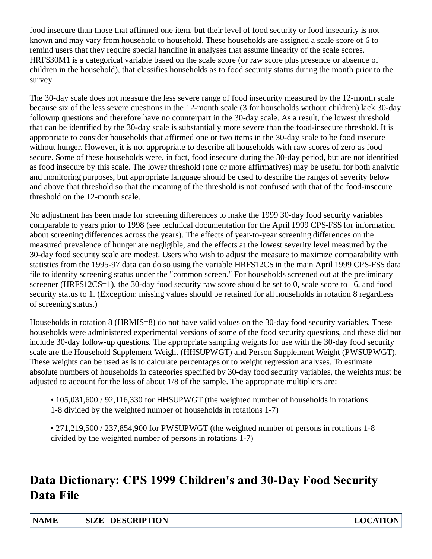food insecure than those that affirmed one item, but their level of food security or food insecurity is not known and may vary from household to household. These households are assigned a scale score of 6 to remind users that they require special handling in analyses that assume linearity of the scale scores. HRFS30M1 is a categorical variable based on the scale score (or raw score plus presence or absence of children in the household), that classifies households as to food security status during the month prior to the survey

The 30-day scale does not measure the less severe range of food insecurity measured by the 12-month scale because six of the less severe questions in the 12-month scale (3 for households without children) lack 30-day followup questions and therefore have no counterpart in the 30-day scale. As a result, the lowest threshold that can be identified by the 30-day scale is substantially more severe than the food-insecure threshold. It is appropriate to consider households that affirmed one or two items in the 30-day scale to be food insecure without hunger. However, it is not appropriate to describe all households with raw scores of zero as food secure. Some of these households were, in fact, food insecure during the 30-day period, but are not identified as food insecure by this scale. The lower threshold (one or more affirmatives) may be useful for both analytic and monitoring purposes, but appropriate language should be used to describe the ranges of severity below and above that threshold so that the meaning of the threshold is not confused with that of the food-insecure threshold on the 12-month scale.

No adjustment has been made for screening differences to make the 1999 30-day food security variables comparable to years prior to 1998 (see technical documentation for the April 1999 CPS-FSS for information about screening differences across the years). The effects of year-to-year screening differences on the measured prevalence of hunger are negligible, and the effects at the lowest severity level measured by the 30-day food security scale are modest. Users who wish to adjust the measure to maximize comparability with statistics from the 1995-97 data can do so using the variable HRFS12CS in the main April 1999 CPS-FSS data file to identify screening status under the "common screen." For households screened out at the preliminary screener (HRFS12CS=1), the 30-day food security raw score should be set to 0, scale score to –6, and food security status to 1. (Exception: missing values should be retained for all households in rotation 8 regardless of screening status.)

Households in rotation 8 (HRMIS=8) do not have valid values on the 30-day food security variables. These households were administered experimental versions of some of the food security questions, and these did not include 30-day follow-up questions. The appropriate sampling weights for use with the 30-day food security scale are the Household Supplement Weight (HHSUPWGT) and Person Supplement Weight (PWSUPWGT). These weights can be used as is to calculate percentages or to weight regression analyses. To estimate absolute numbers of households in categories specified by 30-day food security variables, the weights must be adjusted to account for the loss of about 1/8 of the sample. The appropriate multipliers are:

• 105,031,600 / 92,116,330 for HHSUPWGT (the weighted number of households in rotations 1-8 divided by the weighted number of households in rotations 1-7)

• 271,219,500 / 237,854,900 for PWSUPWGT (the weighted number of persons in rotations 1-8 divided by the weighted number of persons in rotations 1-7)

### Data Dictionary: CPS 1999 Children's and 30-Day Food Security **Data File**

| <b>NAME</b> |  | <b>SIZE DESCRIPTION</b> | <b>LOCATION</b> |
|-------------|--|-------------------------|-----------------|
|-------------|--|-------------------------|-----------------|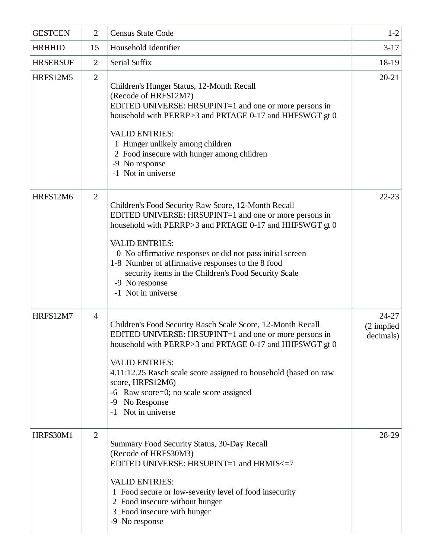| <b>GESTCEN</b>  | $\overline{2}$ | <b>Census State Code</b>                                                                                                                                                                                                                                                                                                                                                                                            | $1-2$                                           |
|-----------------|----------------|---------------------------------------------------------------------------------------------------------------------------------------------------------------------------------------------------------------------------------------------------------------------------------------------------------------------------------------------------------------------------------------------------------------------|-------------------------------------------------|
| <b>HRHHID</b>   | 15             | Household Identifier                                                                                                                                                                                                                                                                                                                                                                                                | $3-17$                                          |
| <b>HRSERSUF</b> | $\overline{2}$ | Serial Suffix                                                                                                                                                                                                                                                                                                                                                                                                       | 18-19                                           |
| HRFS12M5        | $\overline{2}$ | Children's Hunger Status, 12-Month Recall<br>(Recode of HRFS12M7)<br>EDITED UNIVERSE: HRSUPINT=1 and one or more persons in<br>household with PERRP>3 and PRTAGE 0-17 and HHFSWGT gt 0<br><b>VALID ENTRIES:</b><br>1 Hunger unlikely among children<br>2 Food insecure with hunger among children<br>-9 No response<br>-1 Not in universe                                                                           | $20 - 21$                                       |
| HRFS12M6        | $\overline{2}$ | Children's Food Security Raw Score, 12-Month Recall<br>EDITED UNIVERSE: HRSUPINT=1 and one or more persons in<br>household with PERRP>3 and PRTAGE 0-17 and HHFSWGT gt 0<br><b>VALID ENTRIES:</b><br>0 No affirmative responses or did not pass initial screen<br>1-8 Number of affirmative responses to the 8 food<br>security items in the Children's Food Security Scale<br>-9 No response<br>-1 Not in universe | $22 - 23$                                       |
| HRFS12M7        | $\overline{4}$ | Children's Food Security Rasch Scale Score, 12-Month Recall<br>EDITED UNIVERSE: HRSUPINT=1 and one or more persons in<br>household with PERRP>3 and PRTAGE 0-17 and HHFSWGT gt 0<br><b>VALID ENTRIES:</b><br>4.11:12.25 Rasch scale score assigned to household (based on raw<br>score, HRFS12M6)<br>-6 Raw score=0; no scale score assigned<br>No Response<br>-9<br>Not in universe<br>$-1$                        | $24 - 27$<br>$(2 \text{ implied})$<br>decimals) |
| HRFS30M1        | $\overline{2}$ | Summary Food Security Status, 30-Day Recall<br>(Recode of HRFS30M3)<br>EDITED UNIVERSE: HRSUPINT=1 and HRMIS<=7<br><b>VALID ENTRIES:</b><br>1 Food secure or low-severity level of food insecurity<br>2 Food insecure without hunger<br>3 Food insecure with hunger<br>-9 No response                                                                                                                               | 28-29                                           |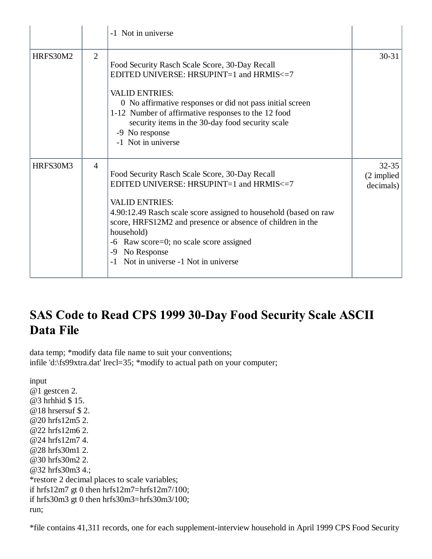|          |                | -1 Not in universe                                                                                                                                                                                                                                                                                                                                                           |                                      |
|----------|----------------|------------------------------------------------------------------------------------------------------------------------------------------------------------------------------------------------------------------------------------------------------------------------------------------------------------------------------------------------------------------------------|--------------------------------------|
| HRFS30M2 | 2              | Food Security Rasch Scale Score, 30-Day Recall<br>EDITED UNIVERSE: HRSUPINT=1 and HRMIS<=7<br><b>VALID ENTRIES:</b><br>0 No affirmative responses or did not pass initial screen<br>1-12 Number of affirmative responses to the 12 food<br>security items in the 30-day food security scale<br>-9 No response<br>-1 Not in universe                                          | $30 - 31$                            |
| HRFS30M3 | $\overline{4}$ | Food Security Rasch Scale Score, 30-Day Recall<br>EDITED UNIVERSE: HRSUPINT=1 and HRMIS<=7<br><b>VALID ENTRIES:</b><br>4.90:12.49 Rasch scale score assigned to household (based on raw<br>score, HRFS12M2 and presence or absence of children in the<br>household)<br>Raw score=0; no scale score assigned<br>-6<br>No Response<br>-9<br>Not in universe -1 Not in universe | $32 - 35$<br>(2 implied<br>decimals) |

# SAS Code to Read CPS 1999 30-Day Food Security Scale ASCII Data File

data temp; \*modify data file name to suit your conventions; infile 'd:\fs99xtra.dat' lrecl=35; \*modify to actual path on your computer;

input

@1 gestcen 2. @3 hrhhid \$ 15. @18 hrsersuf \$ 2. @20 hrfs12m5 2. @22 hrfs12m6 2. @24 hrfs12m7 4. @28 hrfs30m1 2. @30 hrfs30m2 2. @32 hrfs30m3 4.; \*restore 2 decimal places to scale variables; if hrfs $12m7$  gt 0 then hrfs $12m7$ =hrfs $12m7/100$ ; if hrfs30m3 gt 0 then hrfs30m3=hrfs30m3/100; run;

\*file contains 41,311 records, one for each supplement-interview household in April 1999 CPS Food Security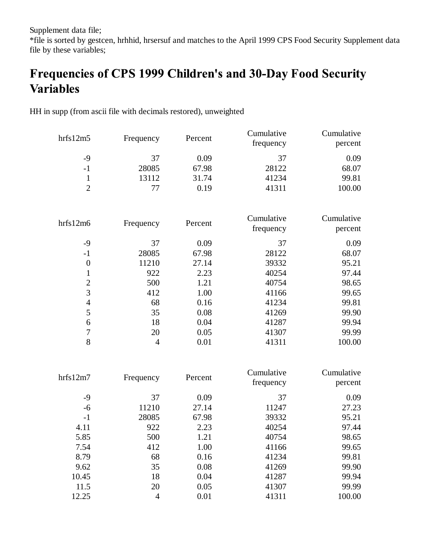Supplement data file;

\*file is sorted by gestcen, hrhhid, hrsersuf and matches to the April 1999 CPS Food Security Supplement data file by these variables;

# Frequencies of CPS 1999 Children's and 30-Day Food Security **Variables**

HH in supp (from ascii file with decimals restored), unweighted

|                  |                |         | Cumulative | Cumulative |
|------------------|----------------|---------|------------|------------|
| hrfs12m5         | Frequency      | Percent | frequency  | percent    |
| $-9$             | 37             | 0.09    | 37         | 0.09       |
| $-1$             | 28085          | 67.98   | 28122      | 68.07      |
| $\mathbf{1}$     | 13112          | 31.74   | 41234      | 99.81      |
| $\overline{2}$   | 77             | 0.19    | 41311      | 100.00     |
|                  |                |         |            |            |
|                  |                |         | Cumulative | Cumulative |
| hrfs12m6         | Frequency      | Percent | frequency  | percent    |
| $-9$             | 37             | 0.09    | 37         | 0.09       |
| $-1$             | 28085          | 67.98   | 28122      | 68.07      |
| $\boldsymbol{0}$ | 11210          | 27.14   | 39332      | 95.21      |
| $\mathbf{1}$     | 922            | 2.23    | 40254      | 97.44      |
| $\overline{c}$   | 500            | 1.21    | 40754      | 98.65      |
| 3                | 412            | 1.00    | 41166      | 99.65      |
| $\overline{4}$   | 68             | 0.16    | 41234      | 99.81      |
| 5                | 35             | 0.08    | 41269      | 99.90      |
| 6                | 18             | 0.04    | 41287      | 99.94      |
| $\boldsymbol{7}$ | 20             | 0.05    | 41307      | 99.99      |
| 8                | $\overline{4}$ | 0.01    | 41311      | 100.00     |
|                  |                |         |            |            |
| hrfs12m7         | Frequency      | Percent | Cumulative | Cumulative |
|                  |                |         | frequency  | percent    |
| $-9$             | 37             | 0.09    | 37         | 0.09       |
| $-6$             | 11210          | 27.14   | 11247      | 27.23      |
| $-1$             | 28085          | 67.98   | 39332      | 95.21      |
| 4.11             | 922            | 2.23    | 40254      | 97.44      |
| 5.85             | 500            | 1.21    | 40754      | 98.65      |
| 7.54             | 412            | 1.00    | 41166      | 99.65      |
| 8.79             | 68             | 0.16    | 41234      | 99.81      |
| 9.62             | 35             | 0.08    | 41269      | 99.90      |
| 10.45            | 18             | 0.04    | 41287      | 99.94      |
| 11.5             | 20             | 0.05    | 41307      | 99.99      |
| 12.25            | $\overline{4}$ | 0.01    | 41311      | 100.00     |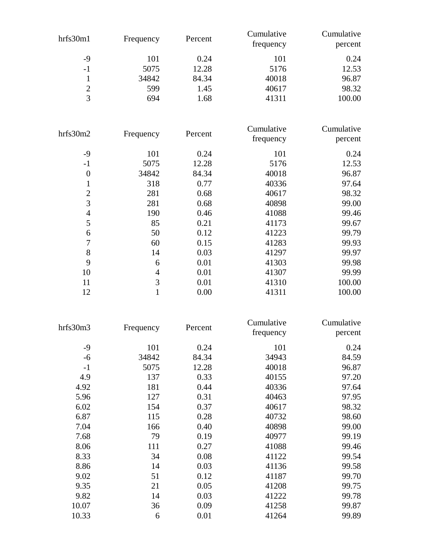| hrfs30m1         | Frequency      | Percent | Cumulative<br>frequency | Cumulative<br>percent |
|------------------|----------------|---------|-------------------------|-----------------------|
| $-9$             | 101            | 0.24    | 101                     | 0.24                  |
| $-1$             | 5075           | 12.28   | 5176                    | 12.53                 |
| $\mathbf{1}$     | 34842          | 84.34   | 40018                   | 96.87                 |
| $\overline{2}$   | 599            | 1.45    | 40617                   | 98.32                 |
| $\overline{3}$   | 694            | 1.68    | 41311                   | 100.00                |
| hrfs30m2         | Frequency      | Percent | Cumulative              | Cumulative            |
|                  |                |         | frequency               | percent               |
| $-9$             | 101            | 0.24    | 101                     | 0.24                  |
| $-1$             | 5075           | 12.28   | 5176                    | 12.53                 |
| $\boldsymbol{0}$ | 34842          | 84.34   | 40018                   | 96.87                 |
| $\mathbf{1}$     | 318            | 0.77    | 40336                   | 97.64                 |
| $\overline{c}$   | 281            | 0.68    | 40617                   | 98.32                 |
| $\overline{3}$   | 281            | 0.68    | 40898                   | 99.00                 |
| $\overline{4}$   | 190            | 0.46    | 41088                   | 99.46                 |
| 5                | 85             | 0.21    | 41173                   | 99.67                 |
| 6                | 50             | 0.12    | 41223                   | 99.79                 |
| 7                | 60             | 0.15    | 41283                   | 99.93                 |
| 8                | 14             | 0.03    | 41297                   | 99.97                 |
| 9                | 6              | 0.01    | 41303                   | 99.98                 |
| 10               | $\overline{4}$ | 0.01    | 41307                   | 99.99                 |
| 11               | 3              | 0.01    | 41310                   | 100.00                |
| 12               | $\mathbf{1}$   | 0.00    | 41311                   | 100.00                |

| hrfs30m3 |           |         | Cumulative | Cumulative |
|----------|-----------|---------|------------|------------|
|          | Frequency | Percent | frequency  | percent    |
| $-9$     | 101       | 0.24    | 101        | 0.24       |
| $-6$     | 34842     | 84.34   | 34943      | 84.59      |
| $-1$     | 5075      | 12.28   | 40018      | 96.87      |
| 4.9      | 137       | 0.33    | 40155      | 97.20      |
| 4.92     | 181       | 0.44    | 40336      | 97.64      |
| 5.96     | 127       | 0.31    | 40463      | 97.95      |
| 6.02     | 154       | 0.37    | 40617      | 98.32      |
| 6.87     | 115       | 0.28    | 40732      | 98.60      |
| 7.04     | 166       | 0.40    | 40898      | 99.00      |
| 7.68     | 79        | 0.19    | 40977      | 99.19      |
| 8.06     | 111       | 0.27    | 41088      | 99.46      |
| 8.33     | 34        | 0.08    | 41122      | 99.54      |
| 8.86     | 14        | 0.03    | 41136      | 99.58      |
| 9.02     | 51        | 0.12    | 41187      | 99.70      |
| 9.35     | 21        | 0.05    | 41208      | 99.75      |
| 9.82     | 14        | 0.03    | 41222      | 99.78      |
| 10.07    | 36        | 0.09    | 41258      | 99.87      |
| 10.33    | 6         | 0.01    | 41264      | 99.89      |
|          |           |         |            |            |